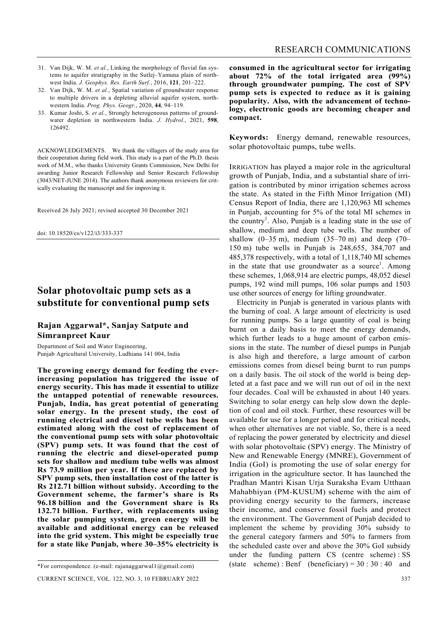- 31. Van Dijk, W. M. *et al.*, Linking the morphology of fluvial fan systems to aquifer stratigraphy in the Sutlej–Yamuna plain of northwest India. *J. Geophys. Res. Earth Surf.*, 2016, **121**, 201–222.
- 32. Van Dijk, W. M. *et al.*, Spatial variation of groundwater response to multiple drivers in a depleting alluvial aquifer system, northwestern India. *Prog. Phys. Geogr.*, 2020, **44**, 94–119.
- 33. Kumar Joshi, S. *et al.*, Strongly heterogeneous patterns of groundwater depletion in northwestern India. *J. Hydrol.*, 2021, **598**, 126492.

ACKNOWLEDGEMENTS. We thank the villagers of the study area for their cooperation during field work. This study is a part of the Ph.D. thesis work of M.M., who thanks University Grants Commission, New Delhi for awarding Junior Research Fellowship and Senior Research Fellowship (3043/NET-JUNE 2014). The authors thank anonymous reviewers for critically evaluating the manuscript and for improving it.

Received 26 July 2021; revised accepted 30 December 2021

doi: 10.18520/cs/v122/i3/333-337

# **Solar photovoltaic pump sets as a substitute for conventional pump sets**

#### **Rajan Aggarwal\*, Sanjay Satpute and Simranpreet Kaur**

Department of Soil and Water Engineering, Punjab Agricultural University, Ludhiana 141 004, India

**The growing energy demand for feeding the everincreasing population has triggered the issue of energy security. This has made it essential to utilize the untapped potential of renewable resources. Punjab, India, has great potential of generating solar energy. In the present study, the cost of running electrical and diesel tube wells has been estimated along with the cost of replacement of the conventional pump sets with solar photovoltaic (SPV) pump sets. It was found that the cost of running the electric and diesel-operated pump sets for shallow and medium tube wells was almost Rs 73.9 million per year. If these are replaced by SPV pump sets, then installation cost of the latter is Rs 212.71 billion without subsidy. According to the Government scheme, the farmer's share is Rs 96.18 billion and the Government share is Rs 132.71 billion. Further, with replacements using the solar pumping system, green energy will be available and additional energy can be released into the grid system. This might be especially true for a state like Punjab, where 30–35% electricity is** 

**consumed in the agricultural sector for irrigating about 72% of the total irrigated area (99%) through groundwater pumping. The cost of SPV pump sets is expected to reduce as it is gaining popularity. Also, with the advancement of technology, electronic goods are becoming cheaper and compact.** 

**Keywords:** Energy demand, renewable resources, solar photovoltaic pumps, tube wells.

IRRIGATION has played a major role in the agricultural growth of Punjab, India, and a substantial share of irrigation is contributed by minor irrigation schemes across the state. As stated in the Fifth Minor Irrigation (MI) Census Report of India, there are 1,120,963 MI schemes in Punjab, accounting for 5% of the total MI schemes in the country<sup>1</sup>. Also, Punjab is a leading state in the use of shallow, medium and deep tube wells. The number of shallow  $(0-35 \text{ m})$ , medium  $(35-70 \text{ m})$  and deep  $(70-$ 150 m) tube wells in Punjab is 248,655, 384,707 and 485,378 respectively, with a total of 1,118,740 MI schemes in the state that use groundwater as a source<sup>1</sup>. Among these schemes, 1,068,914 are electric pumps, 48,052 diesel pumps, 192 wind mill pumps, 106 solar pumps and 1503 use other sources of energy for lifting groundwater.

 Electricity in Punjab is generated in various plants with the burning of coal. A large amount of electricity is used for running pumps. So a large quantity of coal is being burnt on a daily basis to meet the energy demands, which further leads to a huge amount of carbon emissions in the state. The number of diesel pumps in Punjab is also high and therefore, a large amount of carbon emissions comes from diesel being burnt to run pumps on a daily basis. The oil stock of the world is being depleted at a fast pace and we will run out of oil in the next four decades. Coal will be exhausted in about 140 years. Switching to solar energy can help slow down the depletion of coal and oil stock. Further, these resources will be available for use for a longer period and for critical needs, when other alternatives are not viable. So, there is a need of replacing the power generated by electricity and diesel with solar photovoltaic (SPV) energy. The Ministry of New and Renewable Energy (MNRE), Government of India (GoI) is promoting the use of solar energy for irrigation in the agriculture sector. It has launched the Pradhan Mantri Kisan Urja Suraksha Evam Utthaan Mahabhiyan (PM-KUSUM) scheme with the aim of providing energy security to the farmers, increase their income, and conserve fossil fuels and protect the environment. The Government of Punjab decided to implement the scheme by providing 30% subsidy to the general category farmers and 50% to farmers from the scheduled caste over and above the 30% GoI subsidy under the funding pattern CS (centre scheme) : SS (state scheme): Benf (beneficiary) =  $30:30:40$  and

<sup>\*</sup>For correspondence. (e-mail: rajanaggarwal1@gmail.com)

CURRENT SCIENCE, VOL. 122, NO. 3, 10 FEBRUARY 2022 337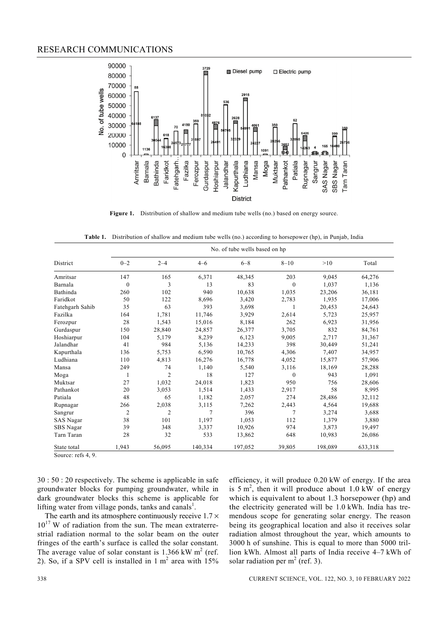

Figure 1. Distribution of shallow and medium tube wells (no.) based on energy source.

**Table 1.** Distribution of shallow and medium tube wells (no.) according to horsepower (hp), in Punjab, India

|                 | No. of tube wells based on hp |                |         |         |              |         |         |  |  |
|-----------------|-------------------------------|----------------|---------|---------|--------------|---------|---------|--|--|
| District        | $0 - 2$                       | $2 - 4$        | $4 - 6$ | $6 - 8$ | $8 - 10$     | >10     | Total   |  |  |
| Amritsar        | 147                           | 165            | 6,371   | 48,345  | 203          | 9,045   | 64,276  |  |  |
| Barnala         | $\boldsymbol{0}$              | 3              | 13      | 83      | $\mathbf{0}$ | 1,037   | 1,136   |  |  |
| Bathinda        | 260                           | 102            | 940     | 10,638  | 1,035        | 23,206  | 36,181  |  |  |
| Faridkot        | 50                            | 122            | 8,696   | 3,420   | 2,783        | 1,935   | 17,006  |  |  |
| Fatehgarh Sahib | 35                            | 63             | 393     | 3,698   |              | 20,453  | 24,643  |  |  |
| Fazilka         | 164                           | 1,781          | 11,746  | 3,929   | 2,614        | 5,723   | 25,957  |  |  |
| Ferozpur        | 28                            | 1,543          | 15,016  | 8,184   | 262          | 6,923   | 31,956  |  |  |
| Gurdaspur       | 150                           | 28,840         | 24,857  | 26,377  | 3,705        | 832     | 84,761  |  |  |
| Hoshiarpur      | 104                           | 5,179          | 8,239   | 6,123   | 9,005        | 2,717   | 31,367  |  |  |
| Jalandhar       | 41                            | 984            | 5,136   | 14,233  | 398          | 30,449  | 51,241  |  |  |
| Kapurthala      | 136                           | 5,753          | 6,590   | 10,765  | 4,306        | 7,407   | 34,957  |  |  |
| Ludhiana        | 110                           | 4,813          | 16,276  | 16,778  | 4,052        | 15,877  | 57,906  |  |  |
| Mansa           | 249                           | 74             | 1,140   | 5,540   | 3,116        | 18,169  | 28,288  |  |  |
| Moga            | 1                             | $\overline{2}$ | 18      | 127     | $\theta$     | 943     | 1,091   |  |  |
| Muktsar         | 27                            | 1,032          | 24,018  | 1,823   | 950          | 756     | 28,606  |  |  |
| Pathankot       | 20                            | 3,053          | 1,514   | 1,433   | 2,917        | 58      | 8,995   |  |  |
| Patiala         | 48                            | 65             | 1,182   | 2,057   | 274          | 28,486  | 32,112  |  |  |
| Rupnagar        | 266                           | 2,038          | 3,115   | 7,262   | 2,443        | 4,564   | 19,688  |  |  |
| Sangrur         | $\overline{c}$                | $\overline{2}$ | 7       | 396     | 7            | 3,274   | 3,688   |  |  |
| SAS Nagar       | 38                            | 101            | 1,197   | 1,053   | 112          | 1,379   | 3,880   |  |  |
| SBS Nagar       | 39                            | 348            | 3,337   | 10,926  | 974          | 3,873   | 19,497  |  |  |
| Tarn Taran      | 28                            | 32             | 533     | 13,862  | 648          | 10,983  | 26,086  |  |  |
| State total     | 1,943                         | 56,095         | 140,334 | 197,052 | 39,805       | 198,089 | 633,318 |  |  |

Source: refs 4, 9.

30 : 50 : 20 respectively. The scheme is applicable in safe groundwater blocks for pumping groundwater, while in dark groundwater blocks this scheme is applicable for lifting water from village ponds, tanks and canals<sup>1</sup>.

The earth and its atmosphere continuously receive  $1.7 \times$  $10^{17}$  W of radiation from the sun. The mean extraterrestrial radiation normal to the solar beam on the outer fringes of the earth's surface is called the solar constant. The average value of solar constant is  $1.366 \text{ kW m}^2$  (ref. 2). So, if a SPV cell is installed in  $1 \text{ m}^2$  area with  $15\%$  efficiency, it will produce 0.20 kW of energy. If the area is  $5 \text{ m}^2$ , then it will produce about  $1.0 \text{ kW}$  of energy which is equivalent to about 1.3 horsepower (hp) and the electricity generated will be 1.0 kWh. India has tremendous scope for generating solar energy. The reason being its geographical location and also it receives solar radiation almost throughout the year, which amounts to 3000 h of sunshine. This is equal to more than 5000 trillion kWh. Almost all parts of India receive 4–7 kWh of solar radiation per  $m<sup>2</sup>$  (ref. 3).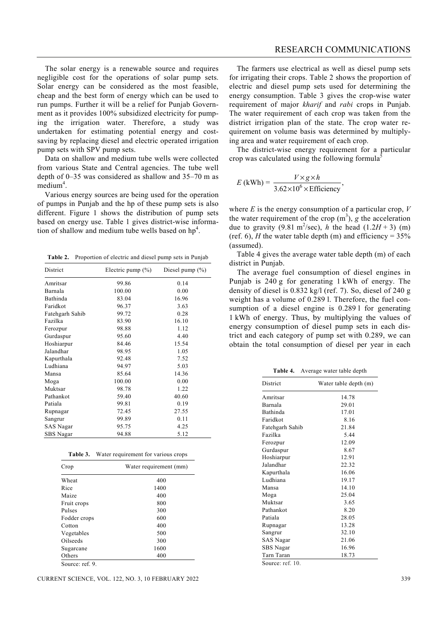The solar energy is a renewable source and requires negligible cost for the operations of solar pump sets. Solar energy can be considered as the most feasible, cheap and the best form of energy which can be used to run pumps. Further it will be a relief for Punjab Government as it provides 100% subsidized electricity for pumping the irrigation water. Therefore, a study was undertaken for estimating potential energy and costsaving by replacing diesel and electric operated irrigation

pump sets with SPV pump sets. Data on shallow and medium tube wells were collected from various State and Central agencies. The tube well depth of 0–35 was considered as shallow and 35–70 m as medium<sup>4</sup>.

 Various energy sources are being used for the operation of pumps in Punjab and the hp of these pump sets is also different. Figure 1 shows the distribution of pump sets based on energy use. Table 1 gives district-wise information of shallow and medium tube wells based on  $hp<sup>4</sup>$ .

**Table 2.** Proportion of electric and diesel pump sets in Punjab

| District        | Electric pump $(\% )$ | Diesel pump (%) |  |
|-----------------|-----------------------|-----------------|--|
| Amritsar        | 99.86                 | 0.14            |  |
| Barnala         | 100.00                | 0.00            |  |
| Bathinda        | 83.04                 | 16.96           |  |
| Faridkot        | 96.37                 | 3.63            |  |
| Fatehgarh Sahib | 99.72                 | 0.28            |  |
| Fazilka         | 83.90                 | 16.10           |  |
| Ferozpur        | 98.88                 | 1.12            |  |
| Gurdaspur       | 95.60                 | 4.40            |  |
| Hoshiarpur      | 84.46                 | 15.54           |  |
| Jalandhar       | 98.95                 | 1.05            |  |
| Kapurthala      | 92.48                 | 7.52            |  |
| Ludhiana        | 94.97                 | 5.03            |  |
| Mansa           | 85.64                 | 14.36           |  |
| Moga            | 100.00                | 0.00            |  |
| Muktsar         | 98.78                 | 1.22            |  |
| Pathankot       | 59.40                 | 40.60           |  |
| Patiala         | 99.81                 | 0.19            |  |
| Rupnagar        | 72.45                 | 27.55           |  |
| Sangrur         | 99.89                 | 0.11            |  |
| SAS Nagar       | 95.75                 | 4.25            |  |
| SBS Nagar       | 94.88                 | 5.12            |  |

|  | Table 3. | Water requirement for various crops |  |
|--|----------|-------------------------------------|--|
|--|----------|-------------------------------------|--|

| Crop         | Water requirement (mm) |
|--------------|------------------------|
| Wheat        | 400                    |
| Rice         | 1400                   |
| Maize        | 400                    |
| Fruit crops  | 800                    |
| Pulses       | 300                    |
| Fodder crops | 600                    |
| Cotton       | 400                    |
| Vegetables   | 500                    |
| Oilseeds     | 300                    |
| Sugarcane    | 1600                   |
| Others       | 400                    |

CURRENT SCIENCE, VOL. 122, NO. 3, 10 FEBRUARY 2022 339

 The farmers use electrical as well as diesel pump sets for irrigating their crops. Table 2 shows the proportion of electric and diesel pump sets used for determining the energy consumption. Table 3 gives the crop-wise water requirement of major *kharif* and *rabi* crops in Punjab. The water requirement of each crop was taken from the district irrigation plan of the state. The crop water requirement on volume basis was determined by multiplying area and water requirement of each crop.

 The district-wise energy requirement for a particular crop was calculated using the following formula<sup>5</sup>

$$
E \text{ (kWh)} = \frac{V \times g \times h}{3.62 \times 10^6 \times \text{Efficiency}},
$$

where *E* is the energy consumption of a particular crop, *V* the water requirement of the crop  $(m^3)$ , *g* the acceleration due to gravity (9.81 m<sup>2</sup>/sec), *h* the head (1.2*H* + 3) (m) (ref. 6), *H* the water table depth (m) and efficiency =  $35\%$ (assumed).

 Table 4 gives the average water table depth (m) of each district in Punjab.

 The average fuel consumption of diesel engines in Punjab is 240 g for generating 1 kWh of energy. The density of diesel is 0.832 kg/l (ref. 7). So, diesel of 240 g weight has a volume of 0.289 l. Therefore, the fuel consumption of a diesel engine is 0.2891 for generating 1 kWh of energy. Thus, by multiplying the values of energy consumption of diesel pump sets in each district and each category of pump set with 0.289, we can obtain the total consumption of diesel per year in each

**Table 4.** Average water table depth

| District        | Water table depth (m) |
|-----------------|-----------------------|
| Amritsar        | 14.78                 |
| Barnala         | 29.01                 |
| Bathinda        | 17.01                 |
| Faridkot        | 8.16                  |
| Fatehgarh Sahib | 21.84                 |
| Fazilka         | 5.44                  |
| Ferozpur        | 12.09                 |
| Gurdaspur       | 8.67                  |
| Hoshiarpur      | 12.91                 |
| Jalandhar       | 22.32                 |
| Kapurthala      | 16.06                 |
| Ludhiana        | 19.17                 |
| Mansa           | 14.10                 |
| Moga            | 25.04                 |
| Muktsar         | 3.65                  |
| Pathankot       | 8.20                  |
| Patiala         | 28.05                 |
| Rupnagar        | 13.28                 |
| Sangrur         | 32.10                 |
| SAS Nagar       | 21.06                 |
| SBS Nagar       | 16.96                 |
| Tarn Taran      | 18.73                 |

Source: ref. 10.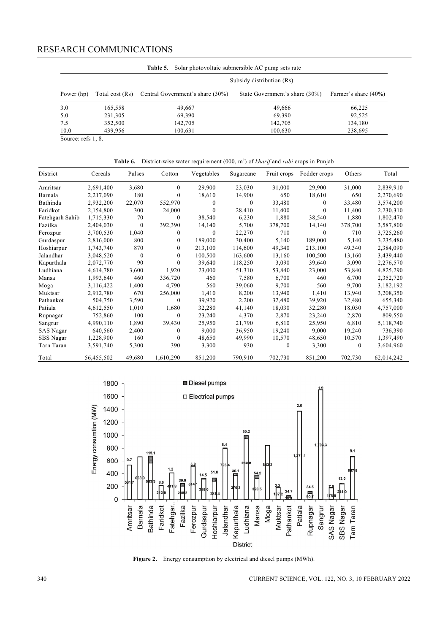|            |                           | <b>Table 5.</b> Solar photovoltaic submersible AC pump sets rate |                                |                      |  |  |  |  |  |
|------------|---------------------------|------------------------------------------------------------------|--------------------------------|----------------------|--|--|--|--|--|
|            | Subsidy distribution (Rs) |                                                                  |                                |                      |  |  |  |  |  |
| Power (hp) | Total cost (Rs)           | Central Government's share (30%)                                 | State Government's share (30%) | Farmer's share (40%) |  |  |  |  |  |
| 3.0        | 165,558                   | 49,667                                                           | 49,666                         | 66,225               |  |  |  |  |  |
| 5.0        | 231,305                   | 69,390                                                           | 69,390                         | 92,525               |  |  |  |  |  |
| 7.5        | 352,500                   | 142,705                                                          | 142,705                        | 134,180              |  |  |  |  |  |
| 10.0       | 439,956                   | 100,631                                                          | 100,630                        | 238,695              |  |  |  |  |  |

Source: refs 1, 8.

| District         | Cereals    | Pulses   | Cotton       | Vegetables | Sugarcane | Fruit crops | Fodder crops | Others   | Total      |
|------------------|------------|----------|--------------|------------|-----------|-------------|--------------|----------|------------|
| Amritsar         | 2,691,400  | 3,680    | $\theta$     | 29,900     | 23,030    | 31,000      | 29,900       | 31,000   | 2,839,910  |
| Barnala          | 2,217,090  | 180      | $\mathbf{0}$ | 18,610     | 14,900    | 650         | 18,610       | 650      | 2,270,690  |
| Bathinda         | 2,932,200  | 22,070   | 552,970      | $\Omega$   | 0         | 33,480      | $\Omega$     | 33,480   | 3,574,200  |
| Faridkot         | 2,154,800  | 300      | 24,000       | $\theta$   | 28,410    | 11,400      | $\theta$     | 11,400   | 2,230,310  |
| Fatehgarh Sahib  | 1,715,330  | 70       | $\mathbf{0}$ | 38,540     | 6,230     | 1,880       | 38,540       | 1,880    | 1,802,470  |
| Fazilka          | 2,404,030  | $\Omega$ | 392,390      | 14,140     | 5,700     | 378,700     | 14,140       | 378,700  | 3,587,800  |
| Ferozpur         | 3,700,530  | 1,040    | $\mathbf{0}$ | $\theta$   | 22,270    | 710         | $\Omega$     | 710      | 3,725,260  |
| Gurdaspur        | 2,816,000  | 800      | 0            | 189,000    | 30,400    | 5,140       | 189,000      | 5,140    | 3,235,480  |
| Hoshiarpur       | 1,743,740  | 870      | 0            | 213,100    | 114,600   | 49,340      | 213,100      | 49,340   | 2,384,090  |
| Jalandhar        | 3,048,520  | $\Omega$ | $\theta$     | 100,500    | 163,600   | 13,160      | 100,500      | 13,160   | 3,439,440  |
| Kapurthala       | 2,072,770  | 90       | $\theta$     | 39,640     | 118,250   | 3,090       | 39,640       | 3,090    | 2,276,570  |
| Ludhiana         | 4,614,780  | 3,600    | 1,920        | 23,000     | 51,310    | 53,840      | 23,000       | 53,840   | 4,825,290  |
| Mansa            | 1,993,640  | 460      | 336,720      | 460        | 7,580     | 6,700       | 460          | 6,700    | 2,352,720  |
| Moga             | 3,116,422  | 1,400    | 4,790        | 560        | 39,060    | 9,700       | 560          | 9,700    | 3,182,192  |
| Muktsar          | 2,912,780  | 670      | 256,000      | 1,410      | 8,200     | 13,940      | 1,410        | 13,940   | 3,208,350  |
| Pathankot        | 504,750    | 3,590    | $\mathbf{0}$ | 39,920     | 2,200     | 32,480      | 39,920       | 32,480   | 655,340    |
| Patiala          | 4,612,550  | 1,010    | 1,680        | 32,280     | 41,140    | 18,030      | 32,280       | 18,030   | 4,757,000  |
| Rupnagar         | 752,860    | 100      | $\theta$     | 23,240     | 4,370     | 2,870       | 23,240       | 2,870    | 809,550    |
| Sangrur          | 4,990,110  | 1,890    | 39,430       | 25,950     | 21,790    | 6,810       | 25,950       | 6,810    | 5,118,740  |
| <b>SAS</b> Nagar | 640,560    | 2,400    | $\mathbf{0}$ | 9,000      | 36,950    | 19,240      | 9,000        | 19,240   | 736,390    |
| SBS Nagar        | 1,228,900  | 160      | $\mathbf{0}$ | 48,650     | 49,990    | 10,570      | 48,650       | 10,570   | 1,397,490  |
| Tarn Taran       | 3,591,740  | 5,300    | 390          | 3,300      | 930       | $\theta$    | 3,300        | $\Omega$ | 3,604,960  |
| Total            | 56,455,502 | 49,680   | 1,610,290    | 851,200    | 790,910   | 702,730     | 851,200      | 702,730  | 62,014,242 |





**Figure 2.** Energy consumption by electrical and diesel pumps (MWh).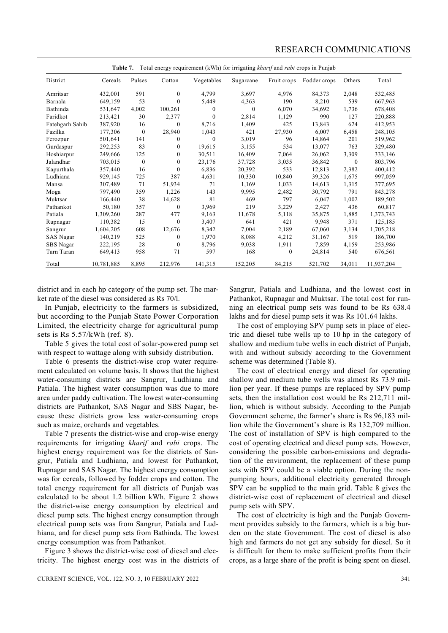| Total energy requirement (kWh) for irrigating <i>kharif</i> and <i>rabi</i> crops in Punjab<br>Table 7. |            |                  |          |            |           |              |              |          |            |
|---------------------------------------------------------------------------------------------------------|------------|------------------|----------|------------|-----------|--------------|--------------|----------|------------|
| District                                                                                                | Cereals    | Pulses           | Cotton   | Vegetables | Sugarcane | Fruit crops  | Fodder crops | Others   | Total      |
| Amritsar                                                                                                | 432,001    | 591              | $\theta$ | 4,799      | 3,697     | 4,976        | 84,373       | 2,048    | 532,485    |
| Barnala                                                                                                 | 649,159    | 53               | 0        | 5,449      | 4,363     | 190          | 8,210        | 539      | 667,963    |
| Bathinda                                                                                                | 531,647    | 4,002            | 100,261  | 0          | $\theta$  | 6,070        | 34,692       | 1,736    | 678,408    |
| Faridkot                                                                                                | 213,421    | 30               | 2,377    | $\Omega$   | 2,814     | 1,129        | 990          | 127      | 220,888    |
| Fatehgarh Sahib                                                                                         | 387,920    | 16               | $\bf{0}$ | 8,716      | 1,409     | 425          | 13,843       | 624      | 412,953    |
| Fazilka                                                                                                 | 177,306    | $\mathbf{0}$     | 28,940   | 1,043      | 421       | 27,930       | 6,007        | 6,458    | 248,105    |
| Ferozpur                                                                                                | 501,641    | 141              | 0        | $\Omega$   | 3,019     | 96           | 14,864       | 201      | 519,962    |
| Gurdaspur                                                                                               | 292,253    | 83               | 0        | 19,615     | 3,155     | 534          | 13,077       | 763      | 329,480    |
| Hoshiarpur                                                                                              | 249,666    | 125              | 0        | 30,511     | 16,409    | 7,064        | 26,062       | 3,309    | 333,146    |
| Jalandhar                                                                                               | 703,015    | $\boldsymbol{0}$ | 0        | 23,176     | 37,728    | 3,035        | 36,842       | $\theta$ | 803,796    |
| Kapurthala                                                                                              | 357,440    | 16               | $\Omega$ | 6,836      | 20,392    | 533          | 12,813       | 2,382    | 400,412    |
| Ludhiana                                                                                                | 929,145    | 725              | 387      | 4,631      | 10,330    | 10,840       | 39,326       | 1,675    | 997,059    |
| Mansa                                                                                                   | 307,489    | 71               | 51,934   | 71         | 1,169     | 1,033        | 14,613       | 1,315    | 377,695    |
| Moga                                                                                                    | 797,490    | 359              | 1,226    | 143        | 9,995     | 2,482        | 30,792       | 791      | 843,278    |
| Muktsar                                                                                                 | 166,440    | 38               | 14,628   | 81         | 469       | 797          | 6,047        | 1,002    | 189,502    |
| Pathankot                                                                                               | 50,180     | 357              | $\bf{0}$ | 3,969      | 219       | 3,229        | 2,427        | 436      | 60,817     |
| Patiala                                                                                                 | 1,309,260  | 287              | 477      | 9,163      | 11,678    | 5,118        | 35,875       | 1,885    | 1,373,743  |
| Rupnagar                                                                                                | 110,382    | 15               | $\theta$ | 3,407      | 641       | 421          | 9,948        | 371      | 125,185    |
| Sangrur                                                                                                 | 1,604,205  | 608              | 12,676   | 8,342      | 7,004     | 2,189        | 67,060       | 3,134    | 1,705,218  |
| SAS Nagar                                                                                               | 140,219    | 525              | $\theta$ | 1,970      | 8,088     | 4,212        | 31,167       | 519      | 186,700    |
| SBS Nagar                                                                                               | 222,195    | 28               | $\bf{0}$ | 8,796      | 9,038     | 1,911        | 7,859        | 4,159    | 253,986    |
| Tarn Taran                                                                                              | 649,413    | 958              | 71       | 597        | 168       | $\mathbf{0}$ | 24,814       | 540      | 676,561    |
| Total                                                                                                   | 10,781,885 | 8,895            | 212,976  | 141,315    | 152,205   | 84,215       | 521,702      | 34,011   | 11,937,204 |

district and in each hp category of the pump set. The market rate of the diesel was considered as Rs 70/l.

In Punjab, electricity to the farmers is subsidized, but according to the Punjab State Power Corporation Limited, the electricity charge for agricultural pump sets is Rs 5.57/kWh (ref. 8).

 Table 5 gives the total cost of solar-powered pump set with respect to wattage along with subsidy distribution.

 Table 6 presents the district-wise crop water requirement calculated on volume basis. It shows that the highest water-consuming districts are Sangrur, Ludhiana and Patiala. The highest water consumption was due to more area under paddy cultivation. The lowest water-consuming districts are Pathankot, SAS Nagar and SBS Nagar, because these districts grow less water-consuming crops such as maize, orchards and vegetables.

 Table 7 presents the district-wise and crop-wise energy requirements for irrigating *kharif* and *rabi* crops. The highest energy requirement was for the districts of Sangrur, Patiala and Ludhiana, and lowest for Pathankot, Rupnagar and SAS Nagar. The highest energy consumption was for cereals, followed by fodder crops and cotton. The total energy requirement for all districts of Punjab was calculated to be about 1.2 billion kWh. Figure 2 shows the district-wise energy consumption by electrical and diesel pump sets. The highest energy consumption through electrical pump sets was from Sangrur, Patiala and Ludhiana, and for diesel pump sets from Bathinda. The lowest energy consumption was from Pathankot.

 Figure 3 shows the district-wise cost of diesel and electricity. The highest energy cost was in the districts of

Sangrur, Patiala and Ludhiana, and the lowest cost in Pathankot, Rupnagar and Muktsar. The total cost for running an electrical pump sets was found to be Rs 638.4 lakhs and for diesel pump sets it was Rs 101.64 lakhs.

 The cost of employing SPV pump sets in place of electric and diesel tube wells up to 10 hp in the category of shallow and medium tube wells in each district of Punjab, with and without subsidy according to the Government scheme was determined (Table 8).

 The cost of electrical energy and diesel for operating shallow and medium tube wells was almost Rs 73.9 million per year. If these pumps are replaced by SPV pump sets, then the installation cost would be Rs 212,711 million, which is without subsidy. According to the Punjab Government scheme, the farmer's share is Rs 96,183 million while the Government's share is Rs 132,709 million. The cost of installation of SPV is high compared to the cost of operating electrical and diesel pump sets. However, considering the possible carbon-emissions and degradation of the environment, the replacement of these pump sets with SPV could be a viable option. During the nonpumping hours, additional electricity generated through SPV can be supplied to the main grid. Table 8 gives the district-wise cost of replacement of electrical and diesel pump sets with SPV.

 The cost of electricity is high and the Punjab Government provides subsidy to the farmers, which is a big burden on the state Government. The cost of diesel is also high and farmers do not get any subsidy for diesel. So it is difficult for them to make sufficient profits from their crops, as a large share of the profit is being spent on diesel.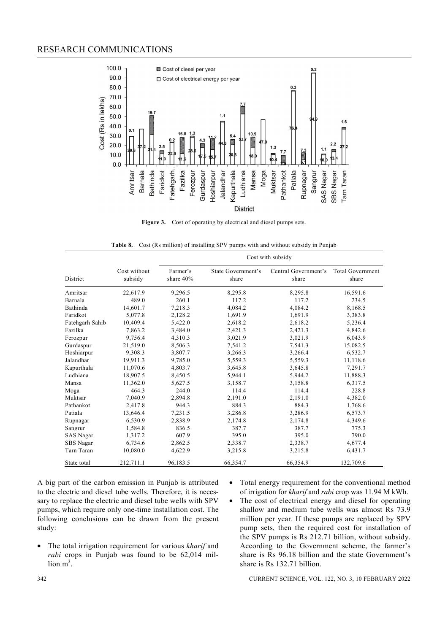

**Figure 3.** Cost of operating by electrical and diesel pumps sets.

**Table 8.** Cost (Rs million) of installing SPV pumps with and without subsidy in Punjab

|                 |                         | Cost with subsidy     |                             |                               |                                              |  |  |  |  |
|-----------------|-------------------------|-----------------------|-----------------------------|-------------------------------|----------------------------------------------|--|--|--|--|
| District        | Cost without<br>subsidy | Farmer's<br>share 40% | State Government's<br>share | Central Government's<br>share | <b>Total Government</b><br>share<br>16,591.6 |  |  |  |  |
| Amritsar        | 22,617.9                | 9,296.5               | 8,295.8                     | 8,295.8                       |                                              |  |  |  |  |
| Barnala         | 489.0                   | 260.1                 | 117.2                       | 117.2                         | 234.5                                        |  |  |  |  |
| Bathinda        | 14,601.7                | 7,218.3               | 4,084.2                     | 4,084.2                       | 8,168.5                                      |  |  |  |  |
| Faridkot        | 5,077.8                 | 2,128.2               | 1,691.9                     | 1,691.9                       | 3.383.8                                      |  |  |  |  |
| Fatehgarh Sahib | 10,409.4                | 5,422.0               | 2,618.2                     | 2,618.2                       | 5,236.4                                      |  |  |  |  |
| Fazilka         | 7,863.2                 | 3,484.0               | 2,421.3                     | 2,421.3                       | 4,842.6                                      |  |  |  |  |
| Ferozpur        | 9,756.4                 | 4,310.3               | 3,021.9                     | 3,021.9                       | 6,043.9                                      |  |  |  |  |
| Gurdaspur       | 21,519.0                | 8,506.3               | 7,541.2                     | 7,541.3                       | 15,082.5                                     |  |  |  |  |
| Hoshiarpur      | 9,308.3                 | 3,807.7               | 3,266.3                     | 3,266.4                       | 6,532.7                                      |  |  |  |  |
| Jalandhar       | 19,911.3                | 9,785.0               | 5,559.3                     | 5,559.3                       | 11,118.6                                     |  |  |  |  |
| Kapurthala      | 11,070.6                | 4,803.7               | 3,645.8                     | 3,645.8                       | 7,291.7                                      |  |  |  |  |
| Ludhiana        | 18,907.5                | 8,450.5               | 5,944.1                     | 5,944.2                       | 11,888.3                                     |  |  |  |  |
| Mansa           | 11,362.0                | 5,627.5               | 3,158.7                     | 3,158.8                       | 6,317.5                                      |  |  |  |  |
| Moga            | 464.3                   | 244.0                 | 114.4                       | 114.4                         | 228.8                                        |  |  |  |  |
| Muktsar         | 7,040.9                 | 2,894.8               | 2,191.0                     | 2,191.0                       | 4,382.0                                      |  |  |  |  |
| Pathankot       | 2,417.8                 | 944.3                 | 884.3                       | 884.3                         | 1,768.6                                      |  |  |  |  |
| Patiala         | 13,646.4                | 7,231.5               | 3,286.8                     | 3,286.9                       | 6,573.7                                      |  |  |  |  |
| Rupnagar        | 6,530.9                 | 2,838.9               | 2,174.8                     | 2,174.8                       | 4,349.6                                      |  |  |  |  |
| Sangrur         | 1,584.8                 | 836.5                 | 387.7                       | 387.7                         | 775.3                                        |  |  |  |  |
| SAS Nagar       | 1,317.2                 | 607.9                 | 395.0                       | 395.0                         | 790.0                                        |  |  |  |  |
| SBS Nagar       | 6,734.6                 | 2,862.5               | 2,338.7                     | 2,338.7                       | 4,677.4                                      |  |  |  |  |
| Tarn Taran      | 10,080.0                | 4,622.9               | 3,215.8                     | 3,215.8                       | 6,431.7                                      |  |  |  |  |
| State total     | 212,711.1               | 96,183.5              | 66,354.7                    | 66,354.9                      | 132,709.6                                    |  |  |  |  |

A big part of the carbon emission in Punjab is attributed to the electric and diesel tube wells. Therefore, it is necessary to replace the electric and diesel tube wells with SPV pumps, which require only one-time installation cost. The following conclusions can be drawn from the present study:

- The total irrigation requirement for various *kharif* and *rabi* crops in Punjab was found to be 62,014 mil- $\lim_{m \to \infty}$
- Total energy requirement for the conventional method of irrigation for *kharif* and *rabi* crop was 11.94 M kWh.
- The cost of electrical energy and diesel for operating shallow and medium tube wells was almost Rs 73.9 million per year. If these pumps are replaced by SPV pump sets, then the required cost for installation of the SPV pumps is Rs 212.71 billion, without subsidy. According to the Government scheme, the farmer's share is Rs 96.18 billion and the state Government's share is Rs 132.71 billion.